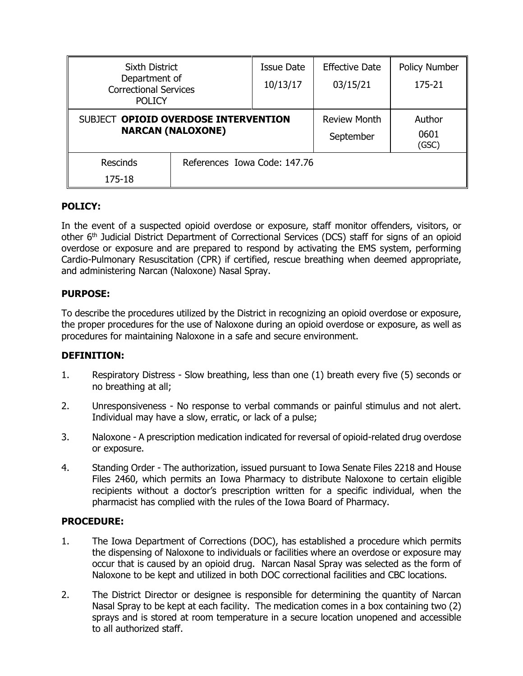| <b>Sixth District</b><br>Department of<br><b>Correctional Services</b><br><b>POLICY</b> |                              | <b>Issue Date</b>   | <b>Effective Date</b> | <b>Policy Number</b> |
|-----------------------------------------------------------------------------------------|------------------------------|---------------------|-----------------------|----------------------|
|                                                                                         |                              | 10/13/17            | 03/15/21              | 175-21               |
|                                                                                         |                              |                     |                       |                      |
| SUBJECT OPIOID OVERDOSE INTERVENTION<br><b>NARCAN (NALOXONE)</b>                        |                              | <b>Review Month</b> | Author                |                      |
|                                                                                         |                              |                     | September             | 0601<br>(GSC)        |
| <b>Rescinds</b>                                                                         | References Iowa Code: 147.76 |                     |                       |                      |
| 175-18                                                                                  |                              |                     |                       |                      |

# **POLICY:**

In the event of a suspected opioid overdose or exposure, staff monitor offenders, visitors, or other 6<sup>th</sup> Judicial District Department of Correctional Services (DCS) staff for signs of an opioid overdose or exposure and are prepared to respond by activating the EMS system, performing Cardio-Pulmonary Resuscitation (CPR) if certified, rescue breathing when deemed appropriate, and administering Narcan (Naloxone) Nasal Spray.

### **PURPOSE:**

To describe the procedures utilized by the District in recognizing an opioid overdose or exposure, the proper procedures for the use of Naloxone during an opioid overdose or exposure, as well as procedures for maintaining Naloxone in a safe and secure environment.

#### **DEFINITION:**

- 1. Respiratory Distress Slow breathing, less than one (1) breath every five (5) seconds or no breathing at all;
- 2. Unresponsiveness No response to verbal commands or painful stimulus and not alert. Individual may have a slow, erratic, or lack of a pulse;
- 3. Naloxone A prescription medication indicated for reversal of opioid-related drug overdose or exposure.
- 4. Standing Order The authorization, issued pursuant to Iowa Senate Files 2218 and House Files 2460, which permits an Iowa Pharmacy to distribute Naloxone to certain eligible recipients without a doctor's prescription written for a specific individual, when the pharmacist has complied with the rules of the Iowa Board of Pharmacy.

#### **PROCEDURE:**

- 1. The Iowa Department of Corrections (DOC), has established a procedure which permits the dispensing of Naloxone to individuals or facilities where an overdose or exposure may occur that is caused by an opioid drug. Narcan Nasal Spray was selected as the form of Naloxone to be kept and utilized in both DOC correctional facilities and CBC locations.
- 2. The District Director or designee is responsible for determining the quantity of Narcan Nasal Spray to be kept at each facility. The medication comes in a box containing two (2) sprays and is stored at room temperature in a secure location unopened and accessible to all authorized staff.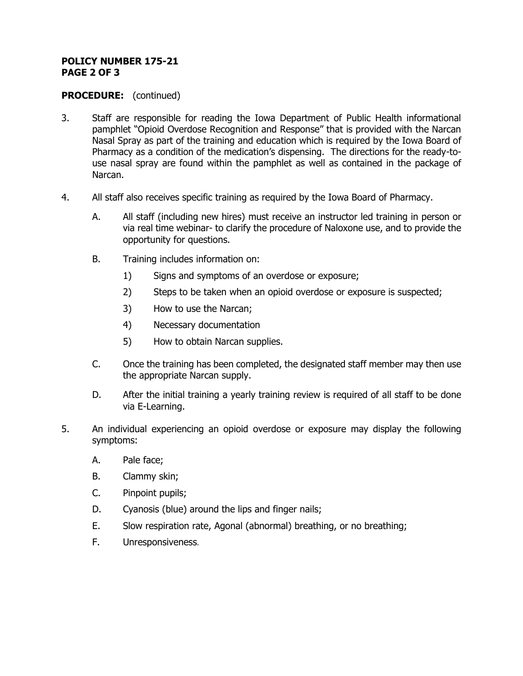#### **POLICY NUMBER 175-21 PAGE 2 OF 3**

### **PROCEDURE:** (continued)

- 3. Staff are responsible for reading the Iowa Department of Public Health informational pamphlet "Opioid Overdose Recognition and Response" that is provided with the Narcan Nasal Spray as part of the training and education which is required by the Iowa Board of Pharmacy as a condition of the medication's dispensing. The directions for the ready-touse nasal spray are found within the pamphlet as well as contained in the package of Narcan.
- 4. All staff also receives specific training as required by the Iowa Board of Pharmacy.
	- A. All staff (including new hires) must receive an instructor led training in person or via real time webinar- to clarify the procedure of Naloxone use, and to provide the opportunity for questions.
	- B. Training includes information on:
		- 1) Signs and symptoms of an overdose or exposure;
		- 2) Steps to be taken when an opioid overdose or exposure is suspected;
		- 3) How to use the Narcan;
		- 4) Necessary documentation
		- 5) How to obtain Narcan supplies.
	- C. Once the training has been completed, the designated staff member may then use the appropriate Narcan supply.
	- D. After the initial training a yearly training review is required of all staff to be done via E-Learning.
- 5. An individual experiencing an opioid overdose or exposure may display the following symptoms:
	- A. Pale face;
	- B. Clammy skin;
	- C. Pinpoint pupils;
	- D. Cyanosis (blue) around the lips and finger nails;
	- E. Slow respiration rate, Agonal (abnormal) breathing, or no breathing;
	- F. Unresponsiveness.